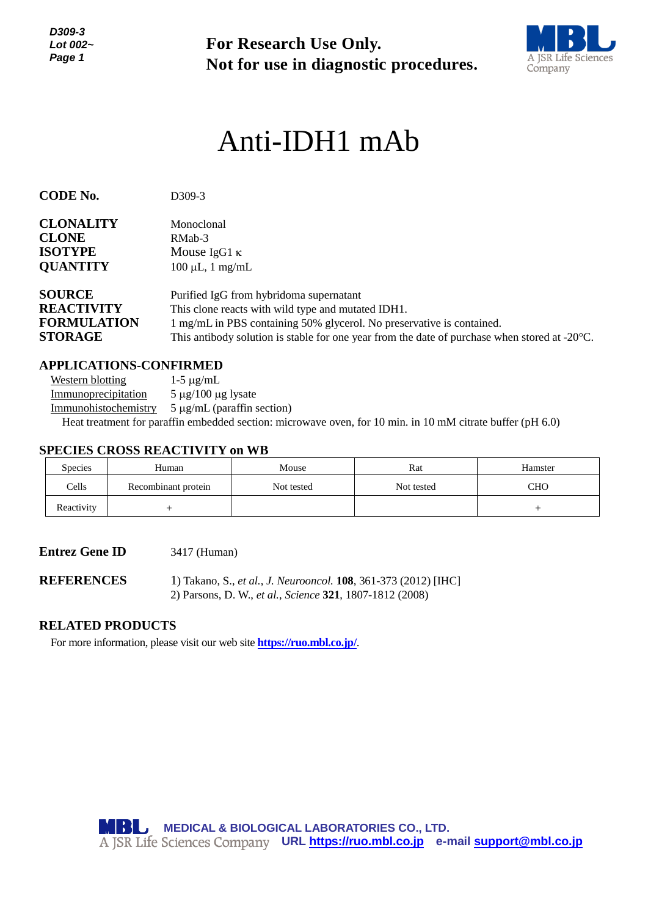*D309-3 Lot 002~ Page 1*

**For Research Use Only. Not for use in diagnostic procedures.**



# Anti-IDH1 mAb

| <b>CODE No.</b>    | D309-3                                                                                                  |  |  |  |
|--------------------|---------------------------------------------------------------------------------------------------------|--|--|--|
| <b>CLONALITY</b>   | Monoclonal                                                                                              |  |  |  |
| <b>CLONE</b>       | RMab-3                                                                                                  |  |  |  |
| <b>ISOTYPE</b>     | Mouse IgG1 $\kappa$                                                                                     |  |  |  |
| <b>QUANTITY</b>    | $100 \mu L$ , 1 mg/mL                                                                                   |  |  |  |
| <b>SOURCE</b>      | Purified IgG from hybridoma supernatant                                                                 |  |  |  |
| <b>REACTIVITY</b>  | This clone reacts with wild type and mutated IDH1.                                                      |  |  |  |
| <b>FORMULATION</b> | 1 mg/mL in PBS containing 50% glycerol. No preservative is contained.                                   |  |  |  |
| <b>STORAGE</b>     | This antibody solution is stable for one year from the date of purchase when stored at $-20^{\circ}$ C. |  |  |  |

## **APPLICATIONS-CONFIRMED**

Western blotting  $1-5 \mu g/mL$ Immunoprecipitation  $5 \mu g/100 \mu g$  lysate Immunohistochemistry  $5 \mu g/mL$  (paraffin section) Heat treatment for paraffin embedded section: microwave oven, for 10 min. in 10 mM citrate buffer (pH 6.0)

## **SPECIES CROSS REACTIVITY on WB**

| <b>Species</b> | Human               | Mouse      | Rat        | Hamster |
|----------------|---------------------|------------|------------|---------|
| Cells          | Recombinant protein | Not tested | Not tested | CHO     |
| Reactivity     |                     |            |            |         |

#### **Entrez Gene ID** 3417 (Human)

**REFERENCES** 1) Takano, S., *et al.*, *J. Neurooncol.* **108**, 361-373 (2012) [IHC] 2) Parsons, D. W., *et al.*, *Science* **321**, 1807-1812 (2008)

# **RELATED PRODUCTS**

For more information, please visit our web site **<https://ruo.mbl.co.jp/>**.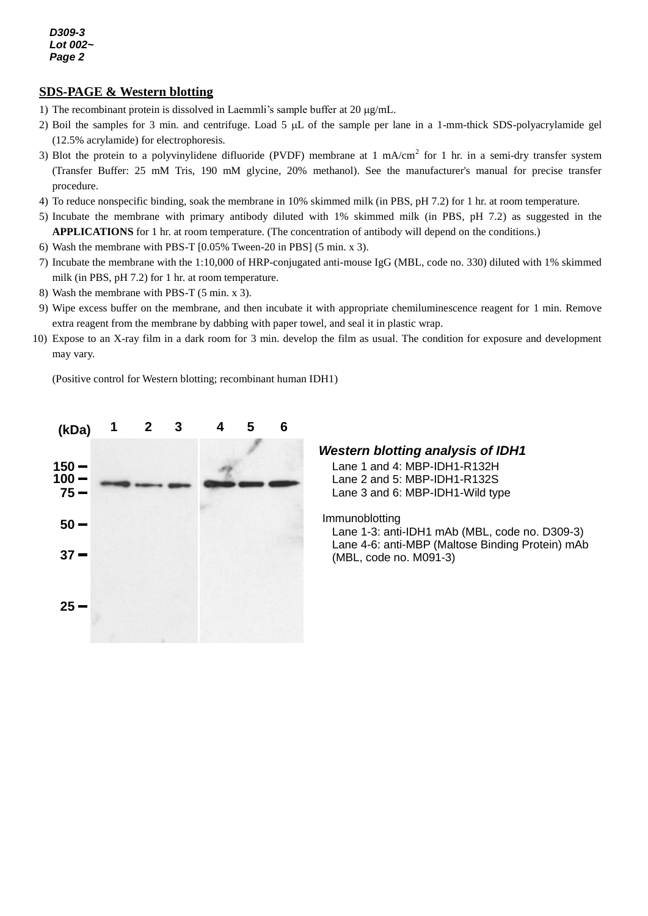## **SDS-PAGE & Western blotting**

- 1) The recombinant protein is dissolved in Laemmli's sample buffer at  $20 \mu g/mL$ .
- 2) Boil the samples for 3 min. and centrifuge. Load 5  $\mu$ L of the sample per lane in a 1-mm-thick SDS-polyacrylamide gel (12.5% acrylamide) for electrophoresis.
- 3) Blot the protein to a polyvinylidene difluoride (PVDF) membrane at 1 mA/cm<sup>2</sup> for 1 hr. in a semi-dry transfer system (Transfer Buffer: 25 mM Tris, 190 mM glycine, 20% methanol). See the manufacturer's manual for precise transfer procedure.
- 4) To reduce nonspecific binding, soak the membrane in 10% skimmed milk (in PBS, pH 7.2) for 1 hr. at room temperature.
- 5) Incubate the membrane with primary antibody diluted with 1% skimmed milk (in PBS, pH 7.2) as suggested in the **APPLICATIONS** for 1 hr. at room temperature. (The concentration of antibody will depend on the conditions.)
- 6) Wash the membrane with PBS-T [0.05% Tween-20 in PBS] (5 min. x 3).
- 7) Incubate the membrane with the 1:10,000 of HRP-conjugated anti-mouse IgG (MBL, code no. 330) diluted with 1% skimmed milk (in PBS, pH 7.2) for 1 hr. at room temperature.
- 8) Wash the membrane with PBS-T (5 min. x 3).
- 9) Wipe excess buffer on the membrane, and then incubate it with appropriate chemiluminescence reagent for 1 min. Remove extra reagent from the membrane by dabbing with paper towel, and seal it in plastic wrap.
- 10) Expose to an X-ray film in a dark room for 3 min. develop the film as usual. The condition for exposure and development may vary.

(Positive control for Western blotting; recombinant human IDH1)



### *Western blotting analysis of IDH1*

Lane 1 and 4: MBP-IDH1-R132H Lane 2 and 5: MBP-IDH1-R132S Lane 3 and 6: MBP-IDH1-Wild type

Immunoblotting

Lane 1-3: anti-IDH1 mAb (MBL, code no. D309-3) Lane 4-6: anti-MBP (Maltose Binding Protein) mAb (MBL, code no. M091-3)